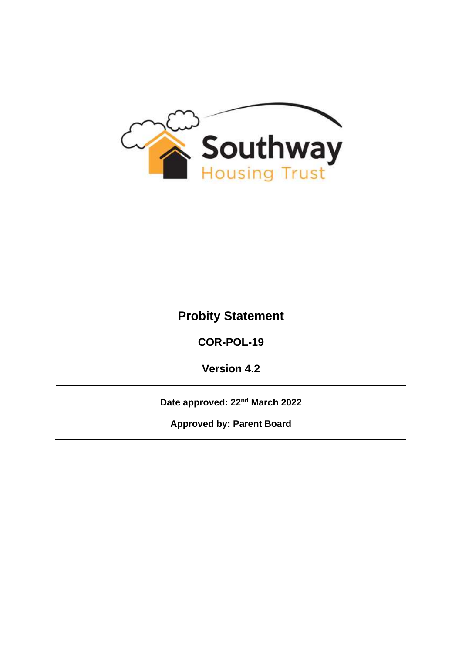

# **Probity Statement**

**COR-POL-19**

**Version 4.2**

**Date approved: 22nd March 2022**

**Approved by: Parent Board**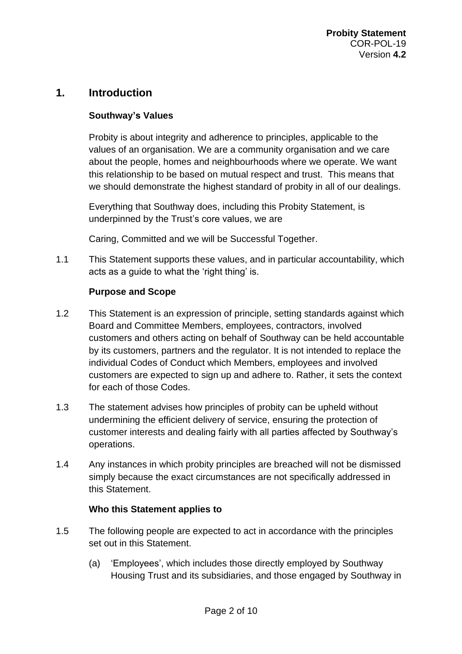### **1. Introduction**

#### **Southway's Values**

Probity is about integrity and adherence to principles, applicable to the values of an organisation. We are a community organisation and we care about the people, homes and neighbourhoods where we operate. We want this relationship to be based on mutual respect and trust. This means that we should demonstrate the highest standard of probity in all of our dealings.

Everything that Southway does, including this Probity Statement, is underpinned by the Trust's core values, we are

Caring, Committed and we will be Successful Together.

1.1 This Statement supports these values, and in particular accountability, which acts as a guide to what the 'right thing' is.

#### **Purpose and Scope**

- 1.2 This Statement is an expression of principle, setting standards against which Board and Committee Members, employees, contractors, involved customers and others acting on behalf of Southway can be held accountable by its customers, partners and the regulator. It is not intended to replace the individual Codes of Conduct which Members, employees and involved customers are expected to sign up and adhere to. Rather, it sets the context for each of those Codes.
- 1.3 The statement advises how principles of probity can be upheld without undermining the efficient delivery of service, ensuring the protection of customer interests and dealing fairly with all parties affected by Southway's operations.
- 1.4 Any instances in which probity principles are breached will not be dismissed simply because the exact circumstances are not specifically addressed in this Statement.

#### **Who this Statement applies to**

- 1.5 The following people are expected to act in accordance with the principles set out in this Statement.
	- (a) 'Employees', which includes those directly employed by Southway Housing Trust and its subsidiaries, and those engaged by Southway in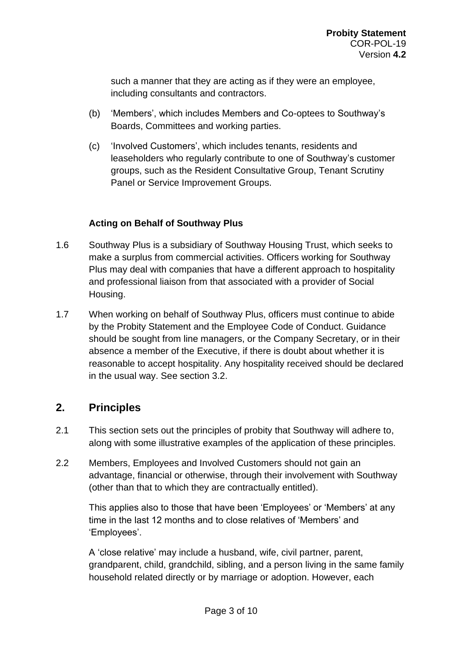such a manner that they are acting as if they were an employee, including consultants and contractors.

- (b) 'Members', which includes Members and Co-optees to Southway's Boards, Committees and working parties.
- (c) 'Involved Customers', which includes tenants, residents and leaseholders who regularly contribute to one of Southway's customer groups, such as the Resident Consultative Group, Tenant Scrutiny Panel or Service Improvement Groups.

### **Acting on Behalf of Southway Plus**

- 1.6 Southway Plus is a subsidiary of Southway Housing Trust, which seeks to make a surplus from commercial activities. Officers working for Southway Plus may deal with companies that have a different approach to hospitality and professional liaison from that associated with a provider of Social Housing.
- 1.7 When working on behalf of Southway Plus, officers must continue to abide by the Probity Statement and the Employee Code of Conduct. Guidance should be sought from line managers, or the Company Secretary, or in their absence a member of the Executive, if there is doubt about whether it is reasonable to accept hospitality. Any hospitality received should be declared in the usual way. See section 3.2.

# **2. Principles**

- 2.1 This section sets out the principles of probity that Southway will adhere to, along with some illustrative examples of the application of these principles.
- 2.2 Members, Employees and Involved Customers should not gain an advantage, financial or otherwise, through their involvement with Southway (other than that to which they are contractually entitled).

This applies also to those that have been 'Employees' or 'Members' at any time in the last 12 months and to close relatives of 'Members' and 'Employees'.

A 'close relative' may include a husband, wife, civil partner, parent, grandparent, child, grandchild, sibling, and a person living in the same family household related directly or by marriage or adoption. However, each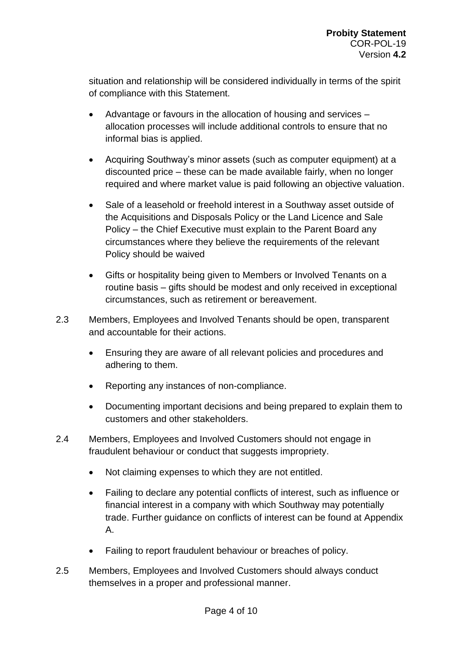situation and relationship will be considered individually in terms of the spirit of compliance with this Statement.

- Advantage or favours in the allocation of housing and services allocation processes will include additional controls to ensure that no informal bias is applied.
- Acquiring Southway's minor assets (such as computer equipment) at a discounted price – these can be made available fairly, when no longer required and where market value is paid following an objective valuation.
- Sale of a leasehold or freehold interest in a Southway asset outside of the Acquisitions and Disposals Policy or the Land Licence and Sale Policy – the Chief Executive must explain to the Parent Board any circumstances where they believe the requirements of the relevant Policy should be waived
- Gifts or hospitality being given to Members or Involved Tenants on a routine basis – gifts should be modest and only received in exceptional circumstances, such as retirement or bereavement.
- 2.3 Members, Employees and Involved Tenants should be open, transparent and accountable for their actions.
	- Ensuring they are aware of all relevant policies and procedures and adhering to them.
	- Reporting any instances of non-compliance.
	- Documenting important decisions and being prepared to explain them to customers and other stakeholders.
- 2.4 Members, Employees and Involved Customers should not engage in fraudulent behaviour or conduct that suggests impropriety.
	- Not claiming expenses to which they are not entitled.
	- Failing to declare any potential conflicts of interest, such as influence or financial interest in a company with which Southway may potentially trade. Further guidance on conflicts of interest can be found at Appendix A.
	- Failing to report fraudulent behaviour or breaches of policy.
- 2.5 Members, Employees and Involved Customers should always conduct themselves in a proper and professional manner.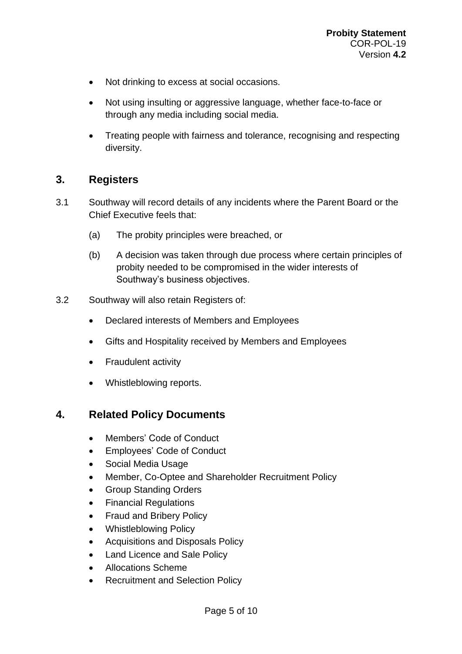- Not drinking to excess at social occasions.
- Not using insulting or aggressive language, whether face-to-face or through any media including social media.
- Treating people with fairness and tolerance, recognising and respecting diversity.

# **3. Registers**

- 3.1 Southway will record details of any incidents where the Parent Board or the Chief Executive feels that:
	- (a) The probity principles were breached, or
	- (b) A decision was taken through due process where certain principles of probity needed to be compromised in the wider interests of Southway's business objectives.
- 3.2 Southway will also retain Registers of:
	- Declared interests of Members and Employees
	- Gifts and Hospitality received by Members and Employees
	- Fraudulent activity
	- Whistleblowing reports.

# **4. Related Policy Documents**

- Members' Code of Conduct
- Employees' Code of Conduct
- Social Media Usage
- Member, Co-Optee and Shareholder Recruitment Policy
- Group Standing Orders
- Financial Regulations
- Fraud and Bribery Policy
- Whistleblowing Policy
- Acquisitions and Disposals Policy
- Land Licence and Sale Policy
- Allocations Scheme
- Recruitment and Selection Policy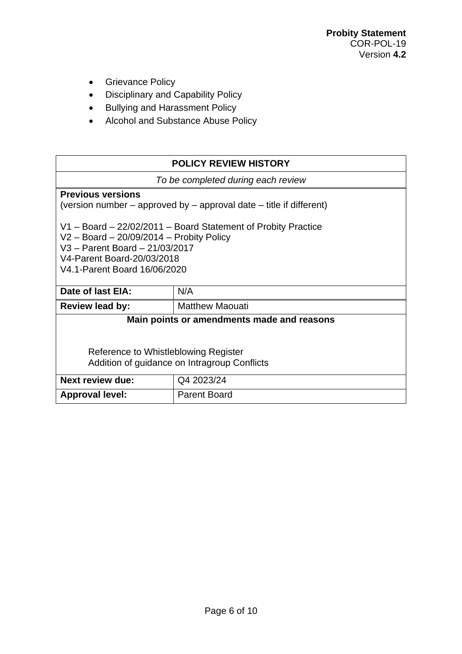- Grievance Policy
- Disciplinary and Capability Policy
- Bullying and Harassment Policy
- Alcohol and Substance Abuse Policy

| <b>POLICY REVIEW HISTORY</b>                                                                                                                                                                                    |                        |
|-----------------------------------------------------------------------------------------------------------------------------------------------------------------------------------------------------------------|------------------------|
| To be completed during each review                                                                                                                                                                              |                        |
| <b>Previous versions</b><br>(version number $-$ approved by $-$ approval date $-$ title if different)                                                                                                           |                        |
| V1 - Board - 22/02/2011 - Board Statement of Probity Practice<br>$V2 - Board - 20/09/2014 - Probability Policy$<br>V3 - Parent Board - 21/03/2017<br>V4-Parent Board-20/03/2018<br>V4.1-Parent Board 16/06/2020 |                        |
| Date of last EIA:                                                                                                                                                                                               | N/A                    |
| <b>Review lead by:</b>                                                                                                                                                                                          | <b>Matthew Maouati</b> |
| Main points or amendments made and reasons                                                                                                                                                                      |                        |
| Reference to Whistleblowing Register<br>Addition of guidance on Intragroup Conflicts                                                                                                                            |                        |
| <b>Next review due:</b>                                                                                                                                                                                         | Q4 2023/24             |
| <b>Approval level:</b>                                                                                                                                                                                          | <b>Parent Board</b>    |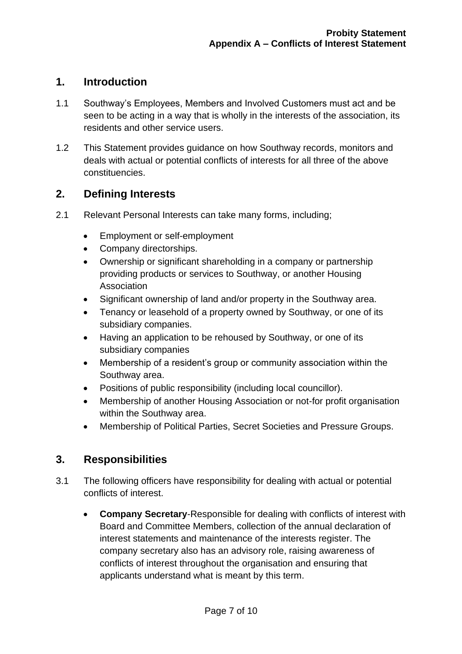### **1. Introduction**

- 1.1 Southway's Employees, Members and Involved Customers must act and be seen to be acting in a way that is wholly in the interests of the association, its residents and other service users.
- 1.2 This Statement provides guidance on how Southway records, monitors and deals with actual or potential conflicts of interests for all three of the above constituencies.

# **2. Defining Interests**

- 2.1 Relevant Personal Interests can take many forms, including;
	- Employment or self-employment
	- Company directorships.
	- Ownership or significant shareholding in a company or partnership providing products or services to Southway, or another Housing Association
	- Significant ownership of land and/or property in the Southway area.
	- Tenancy or leasehold of a property owned by Southway, or one of its subsidiary companies.
	- Having an application to be rehoused by Southway, or one of its subsidiary companies
	- Membership of a resident's group or community association within the Southway area.
	- Positions of public responsibility (including local councillor).
	- Membership of another Housing Association or not-for profit organisation within the Southway area.
	- Membership of Political Parties, Secret Societies and Pressure Groups.

# **3. Responsibilities**

- 3.1 The following officers have responsibility for dealing with actual or potential conflicts of interest.
	- **Company Secretary**-Responsible for dealing with conflicts of interest with Board and Committee Members, collection of the annual declaration of interest statements and maintenance of the interests register. The company secretary also has an advisory role, raising awareness of conflicts of interest throughout the organisation and ensuring that applicants understand what is meant by this term.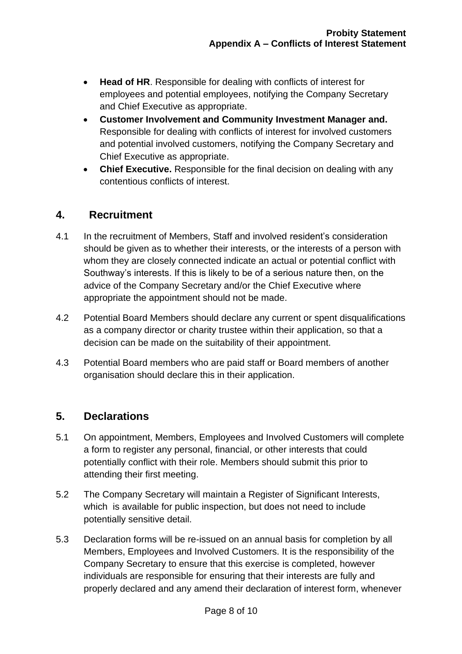- **Head of HR**. Responsible for dealing with conflicts of interest for employees and potential employees, notifying the Company Secretary and Chief Executive as appropriate.
- **Customer Involvement and Community Investment Manager and.**  Responsible for dealing with conflicts of interest for involved customers and potential involved customers, notifying the Company Secretary and Chief Executive as appropriate.
- **Chief Executive.** Responsible for the final decision on dealing with any contentious conflicts of interest.

### **4. Recruitment**

- 4.1 In the recruitment of Members, Staff and involved resident's consideration should be given as to whether their interests, or the interests of a person with whom they are closely connected indicate an actual or potential conflict with Southway's interests. If this is likely to be of a serious nature then, on the advice of the Company Secretary and/or the Chief Executive where appropriate the appointment should not be made.
- 4.2 Potential Board Members should declare any current or spent disqualifications as a company director or charity trustee within their application, so that a decision can be made on the suitability of their appointment.
- 4.3 Potential Board members who are paid staff or Board members of another organisation should declare this in their application.

# **5. Declarations**

- 5.1 On appointment, Members, Employees and Involved Customers will complete a form to register any personal, financial, or other interests that could potentially conflict with their role. Members should submit this prior to attending their first meeting.
- 5.2 The Company Secretary will maintain a Register of Significant Interests, which is available for public inspection, but does not need to include potentially sensitive detail.
- 5.3 Declaration forms will be re-issued on an annual basis for completion by all Members, Employees and Involved Customers. It is the responsibility of the Company Secretary to ensure that this exercise is completed, however individuals are responsible for ensuring that their interests are fully and properly declared and any amend their declaration of interest form, whenever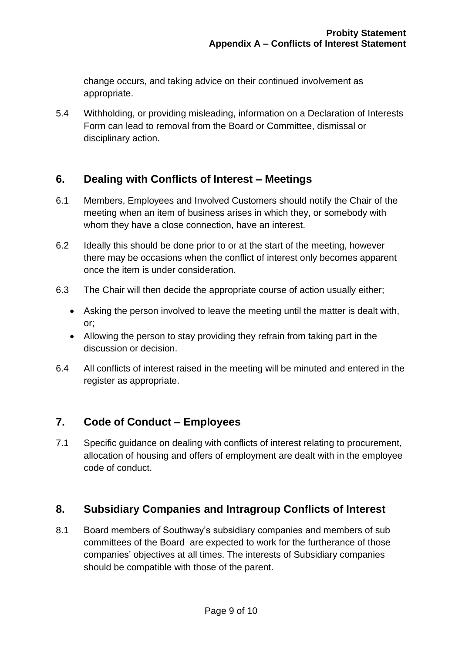change occurs, and taking advice on their continued involvement as appropriate.

5.4 Withholding, or providing misleading, information on a Declaration of Interests Form can lead to removal from the Board or Committee, dismissal or disciplinary action.

# **6. Dealing with Conflicts of Interest – Meetings**

- 6.1 Members, Employees and Involved Customers should notify the Chair of the meeting when an item of business arises in which they, or somebody with whom they have a close connection, have an interest.
- 6.2 Ideally this should be done prior to or at the start of the meeting, however there may be occasions when the conflict of interest only becomes apparent once the item is under consideration.
- 6.3 The Chair will then decide the appropriate course of action usually either;
	- Asking the person involved to leave the meeting until the matter is dealt with, or;
	- Allowing the person to stay providing they refrain from taking part in the discussion or decision.
- 6.4 All conflicts of interest raised in the meeting will be minuted and entered in the register as appropriate.

# **7. Code of Conduct – Employees**

7.1 Specific guidance on dealing with conflicts of interest relating to procurement, allocation of housing and offers of employment are dealt with in the employee code of conduct.

# **8. Subsidiary Companies and Intragroup Conflicts of Interest**

8.1 Board members of Southway's subsidiary companies and members of sub committees of the Board are expected to work for the furtherance of those companies' objectives at all times. The interests of Subsidiary companies should be compatible with those of the parent.